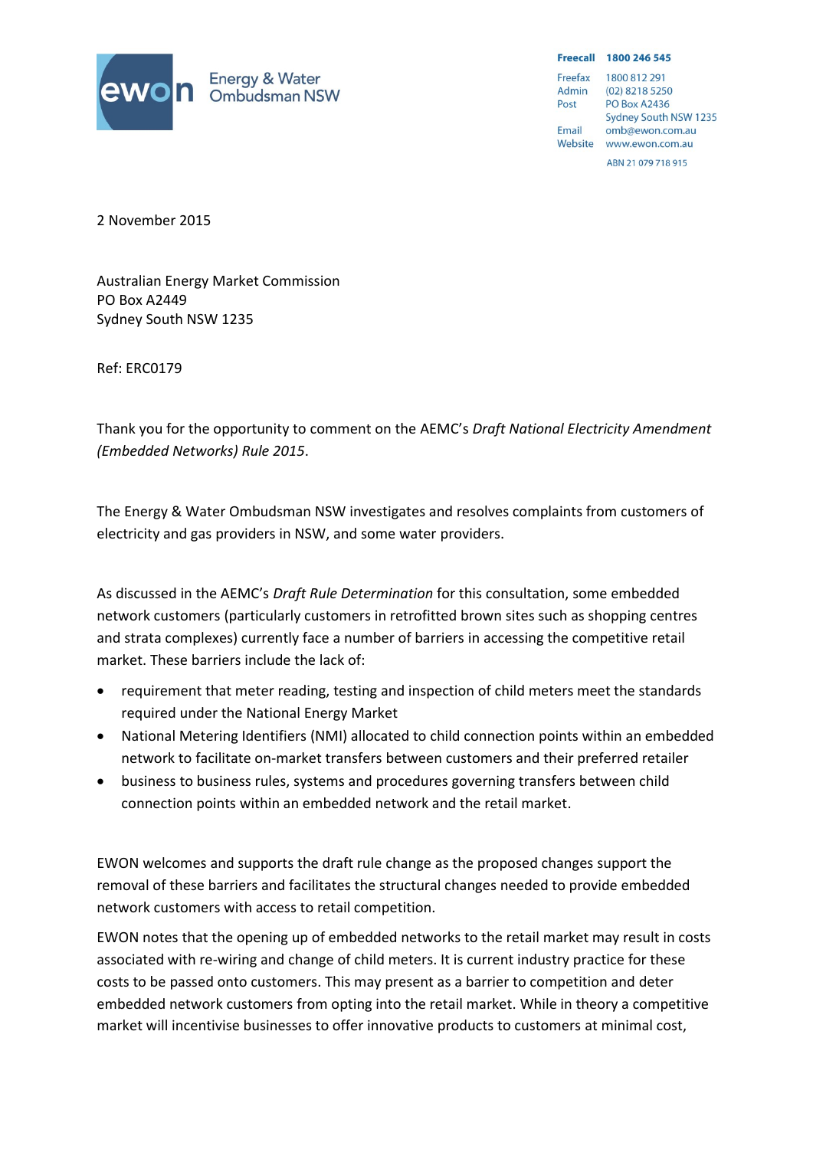

Freecall 1800 246 545 Freefax 1800 812 291 Admin (02) 8218 5250 **PO Box A2436** Post Sydney South NSW 1235 Email omb@ewon.com.au Website www.ewon.com.au

ARN 21 079 718 915

2 November 2015

Australian Energy Market Commission PO Box A2449 Sydney South NSW 1235

Ref: ERC0179

Thank you for the opportunity to comment on the AEMC's *Draft National Electricity Amendment (Embedded Networks) Rule 2015*.

The Energy & Water Ombudsman NSW investigates and resolves complaints from customers of electricity and gas providers in NSW, and some water providers.

As discussed in the AEMC's *Draft Rule Determination* for this consultation, some embedded network customers (particularly customers in retrofitted brown sites such as shopping centres and strata complexes) currently face a number of barriers in accessing the competitive retail market. These barriers include the lack of:

- requirement that meter reading, testing and inspection of child meters meet the standards required under the National Energy Market
- National Metering Identifiers (NMI) allocated to child connection points within an embedded network to facilitate on-market transfers between customers and their preferred retailer
- business to business rules, systems and procedures governing transfers between child connection points within an embedded network and the retail market.

EWON welcomes and supports the draft rule change as the proposed changes support the removal of these barriers and facilitates the structural changes needed to provide embedded network customers with access to retail competition.

EWON notes that the opening up of embedded networks to the retail market may result in costs associated with re-wiring and change of child meters. It is current industry practice for these costs to be passed onto customers. This may present as a barrier to competition and deter embedded network customers from opting into the retail market. While in theory a competitive market will incentivise businesses to offer innovative products to customers at minimal cost,